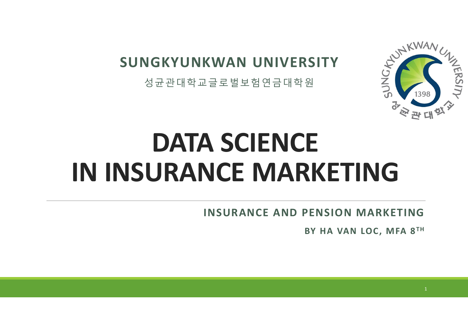# **SUNGKYUNKWAN UNIVERSITY**

성균관대학교글로벌보험연금대학원



# **DATA SCIENCE IN INSURANCE MARKETING**

**INSURANCE AND PENSION MARKETING**

**BY HA VAN LOC, MFA 8 TH**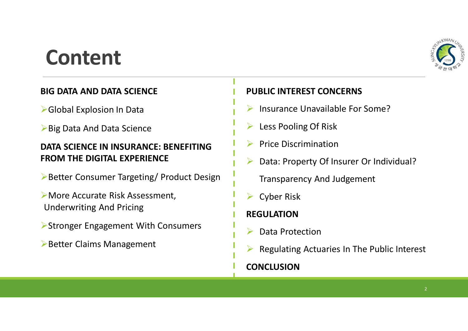# **Content**



### **BIG DATA AND DATA SCIENCE**

ØGlobal Explosion In Data

ØBig Data And Data Science

### **DATA SCIENCE IN INSURANCE: BENEFITING FROM THE DIGITAL EXPERIENCE**

**▶Better Consumer Targeting/ Product Design** 

ØMore Accurate Risk Assessment, Underwriting And Pricing

- ØStronger Engagement With Consumers
- ØBetter Claims Management

### **PUBLIC INTEREST CONCERNS**

- $\triangleright$  Insurance Unavailable For Some?
- Ø Less Pooling Of Risk
- Ø Price Discrimination
- Data: Property Of Insurer Or Individual?

Transparency And Judgement

**Cyber Risk** 

### **REGULATION**

- Data Protection
- Regulating Actuaries In The Public Interest

### **CONCLUSION**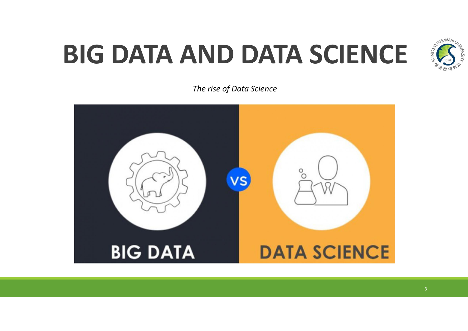# **BIG DATA AND DATA SCIENCE**



*The rise of Data Science*

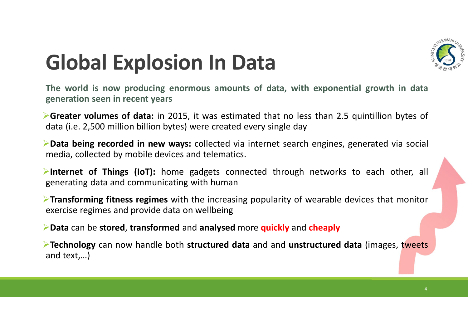

# **Global Explosion In Data**

**The world is now producing enormous amounts of data, with exponential growth in data generation seen in recent years**

Ø**Greater volumes of data:** in 2015, it was estimated that no less than 2.5 quintillion bytes of data (i.e. 2,500 million billion bytes) were created every single day

Ø**Data being recorded in new ways:** collected via internet search engines, generated via social media, collected by mobile devices and telematics.

Ø**Internet of Things (IoT):** home gadgets connected through networks to each other, all generating data and communicating with human

Ø**Transforming fitness regimes** with the increasing popularity of wearable devices that monitor exercise regimes and provide data on wellbeing

Ø**Data** can be **stored**, **transformed** and **analysed** more **quickly** and **cheaply**

Ø**Technology** can now handle both **structured data** and and **unstructured data** (images, tweets and text,…)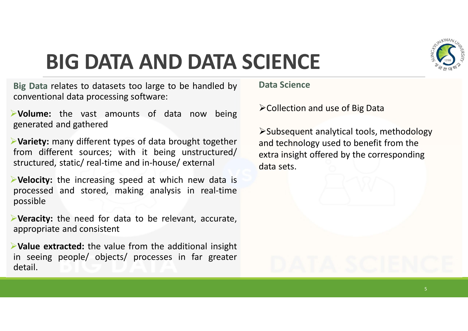

# **BIG DATA AND DATA SCIENCE**

**Big Data** relates to datasets too large to be handled by conventional data processing software:

Ø**Volume:** the vast amounts of data now being generated and gathered

Ø**Variety:** many different types of data brought together from different sources; with it being unstructured/ structured, static/ real-time and in-house/ external

Ø**Velocity:** the increasing speed at which new data is processed and stored, making analysis in real-time possible

Ø**Veracity:** the need for data to be relevant, accurate, appropriate and consistent

Ø**Value extracted:** the value from the additional insight in seeing people/ objects/ processes in far greater detail.

**Data Science**

 $\triangleright$  Collection and use of Big Data

ØSubsequent analytical tools, methodology and technology used to benefit from the extra insight offered by the corresponding data sets.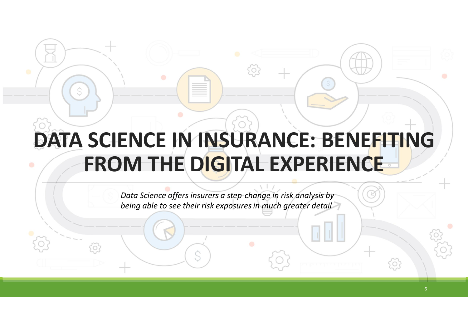# **DATA SCIENCE IN INSURANCE: BENEFITING FROM THE DIGITAL EXPERIENCE**

*Data Science offers insurers a step-change in risk analysis by being able to see their risk exposuresin much greater detail*

0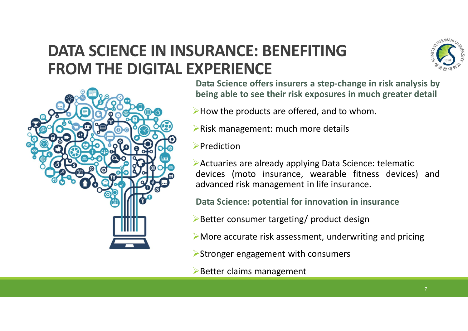# **DATA SCIENCE IN INSURANCE: BENEFITING FROM THE DIGITAL EXPERIENCE**





**Data Science offers insurers a step-change in risk analysis by being able to see their risk exposures in much greater detail**

- $\blacktriangleright$  How the products are offered, and to whom.
- $\triangleright$  Risk management: much more details
- $\blacktriangleright$ Prediction

 $\blacktriangleright$  Actuaries are already applying Data Science: telematic devices (moto insurance, wearable fitness devices) and advanced risk management in life insurance.

**Data Science: potential for innovation in insurance**

- ØBetter consumer targeting/ product design
- $\triangleright$  More accurate risk assessment, underwriting and pricing
- $\triangleright$  Stronger engagement with consumers
- $\triangleright$  Better claims management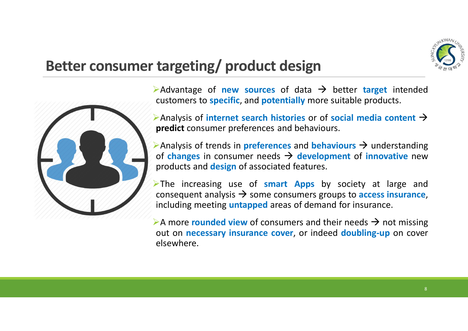

# **Better consumer targeting/ product design**



 $\triangleright$  Advantage of **new sources** of data  $\rightarrow$  better **target** intended customers to **specific**, and **potentially** more suitable products.

 $\triangleright$  Analysis of **internet search histories** or of **social media content**  $\rightarrow$ **predict** consumer preferences and behaviours.

 $\triangleright$  Analysis of trends in **preferences** and **behaviours**  $\rightarrow$  understanding of **changes** in consumer needs  $\rightarrow$  **development** of **innovative** new products and **design** of associated features.

ØThe increasing use of **smart Apps** by society at large and consequent analysis  $\rightarrow$  some consumers groups to **access insurance**, including meeting **untapped** areas of demand for insurance.

A more **rounded view** of consumers and their needs  $\rightarrow$  not missing out on **necessary insurance cover**, or indeed **doubling-up** on cover elsewhere.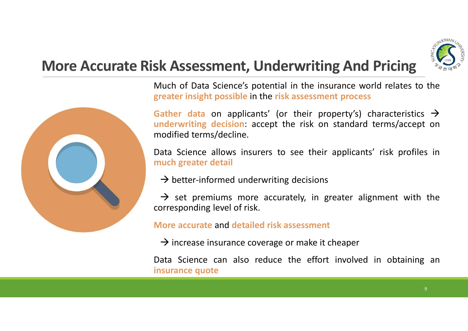

# **More Accurate Risk Assessment, Underwriting And Pricing**



Much of Data Science's potential in the insurance world relates to the **greater insight possible** in the **risk assessment process**

**Gather data** on applicants' (or their property's) characteristics  $\rightarrow$ **underwriting decision**: accept the risk on standard terms/accept on modified terms/decline.

Data Science allows insurers to see their applicants' risk profiles in **much greater detail**

 $\rightarrow$  better-informed underwriting decisions

 $\rightarrow$  set premiums more accurately, in greater alignment with the corresponding level of risk.

**More accurate** and **detailed risk assessment**

 $\rightarrow$  increase insurance coverage or make it cheaper

Data Science can also reduce the effort involved in obtaining an **insurance quote**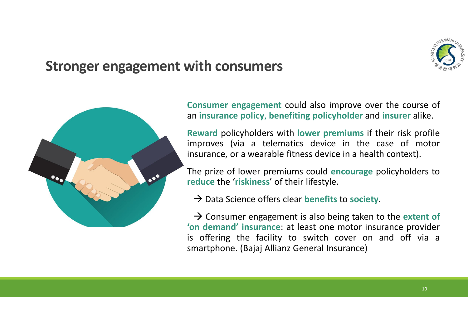

### **Stronger engagement with consumers**



**Consumer engagement** could also improve over the course of an **insurance policy**, **benefiting policyholder** and **insurer** alike.

**Reward** policyholders with **lower premiums** if their risk profile improves (via a telematics device in the case of motor insurance, or a wearable fitness device in a health context).

The prize of lower premiums could **encourage** policyholders to **reduce** the '**riskiness**' of their lifestyle.

à Data Science offers clear **benefits** to **society**.

 $\rightarrow$  Consumer engagement is also being taken to the extent of **'on demand' insurance**: at least one motor insurance provider is offering the facility to switch cover on and off via a smartphone. (Bajaj Allianz General Insurance)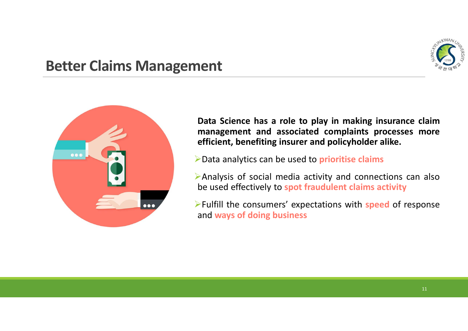

### **Better Claims Management**



**Data Science has a role to play in making insurance claim management and associated complaints processes more efficient, benefiting insurer and policyholder alike.**

ØData analytics can be used to **prioritise claims**

ØAnalysis of social media activity and connections can also be used effectively to **spot fraudulent claims activity**

ØFulfill the consumers' expectations with **speed** of response and **ways of doing business**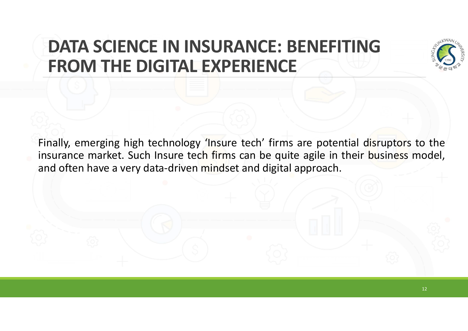# **DATA SCIENCE IN INSURANCE: BENEFITING FROM THE DIGITAL EXPERIENCE**



Finally, emerging high technology 'Insure tech' firms are potential disruptors to the insurance market. Such Insure tech firms can be quite agile in their business model, and often have a very data-driven mindset and digital approach.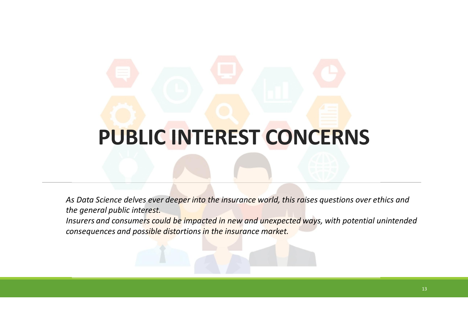# **PUBLIC INTEREST CONCERNS**

*As Data Science delves ever deeper into the insurance world, this raises questions over ethics and the general public interest.*

*Insurers and consumers could be impacted in new and unexpected ways, with potential unintended consequences and possible distortions in the insurance market.*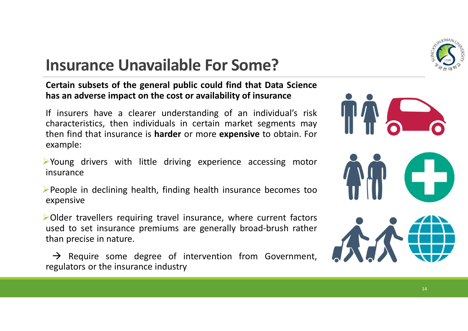

# **Insurance Unavailable For Some?**

### **Certain subsets of the general public could find that Data Science has an adverse impact on the cost or availability of insurance**

If insurers have a clearer understanding of an individual's risk characteristics, then individuals in certain market segments may then find that insurance is **harder** or more **expensive** to obtain. For example:

- $\triangleright$  Young drivers with little driving experience accessing motor insurance
- $\blacktriangleright$  People in declining health, finding health insurance becomes too expensive
- $\triangleright$  Older travellers requiring travel insurance, where current factors used to set insurance premiums are generally broad-brush rather than precise in nature.
- $\rightarrow$  Require some degree of intervention from Government, regulators or the insurance industry

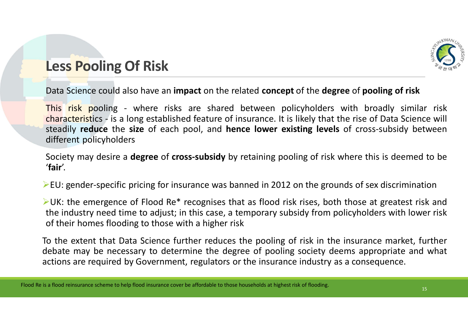

# **Less Pooling Of Risk**

Data Science could also have an **impact** on the related **concept** of the **degree** of **pooling of risk**

This risk pooling - where risks are shared between policyholders with broadly similar risk characteristics - is a long established feature of insurance. It is likely that the rise of Data Science will steadily **reduce** the **size** of each pool, and **hence lower existing levels** of cross-subsidy between different policyholders

Society may desire a **degree** of **cross-subsidy** by retaining pooling of risk where this is deemed to be '**fair**'.

 $\triangleright$  EU: gender-specific pricing for insurance was banned in 2012 on the grounds of sex discrimination

 $\blacktriangleright$ UK: the emergence of Flood Re\* recognises that as flood risk rises, both those at greatest risk and the industry need time to adjust; in this case, a temporary subsidy from policyholders with lower risk of their homes flooding to those with a higher risk

To the extent that Data Science further reduces the pooling of risk in the insurance market, further debate may be necessary to determine the degree of pooling society deems appropriate and what actions are required by Government, regulators or the insurance industry as a consequence.

Flood Re is a flood reinsurance scheme to help flood insurance cover be affordable to those households at highest risk of flooding.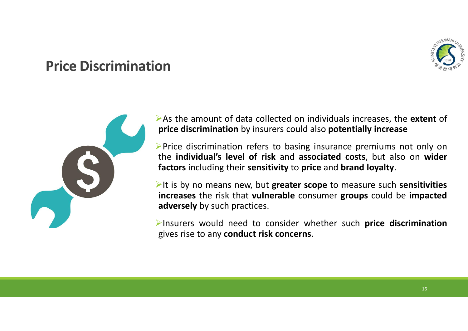

# **Price Discrimination**



ØAs the amount of data collected on individuals increases, the **extent** of **price discrimination** by insurers could also **potentially increase**

 $\triangleright$  Price discrimination refers to basing insurance premiums not only on the **individual's level of risk** and **associated costs**, but also on **wider factors** including their **sensitivity** to **price** and **brand loyalty**.

ØIt is by no means new, but **greater scope** to measure such **sensitivities increases** the risk that **vulnerable** consumer **groups** could be **impacted adversely** by such practices.

ØInsurers would need to consider whether such **price discrimination** gives rise to any **conduct risk concerns**.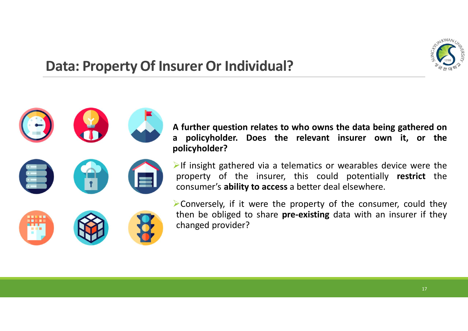

# **Data: Property Of Insurer Or Individual?**

**A further question relates to who owns the data being gathered on a policyholder. Does the relevant insurer own it, or the policyholder?**

 $\triangleright$ If insight gathered via a telematics or wearables device were the property of the insurer, this could potentially **restrict** the consumer's **ability to access** a better deal elsewhere.

 $\triangleright$  Conversely, if it were the property of the consumer, could they then be obliged to share **pre-existing** data with an insurer if they changed provider?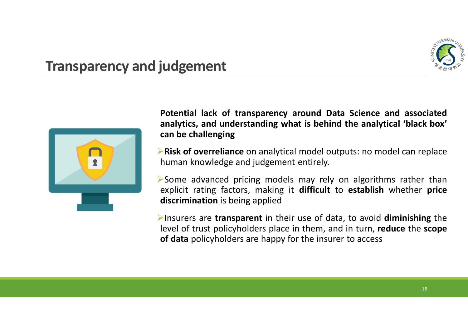

# **Transparency and judgement**



**Potential lack of transparency around Data Science and associated analytics, and understanding what is behind the analytical 'black box' can be challenging**

Ø**Risk of overreliance** on analytical model outputs: no model can replace human knowledge and judgement entirely.

 $\triangleright$  Some advanced pricing models may rely on algorithms rather than explicit rating factors, making it **difficult** to **establish** whether **price discrimination** is being applied

ØInsurers are **transparent** in their use of data, to avoid **diminishing** the level of trust policyholders place in them, and in turn, **reduce** the **scope of data** policyholders are happy for the insurer to access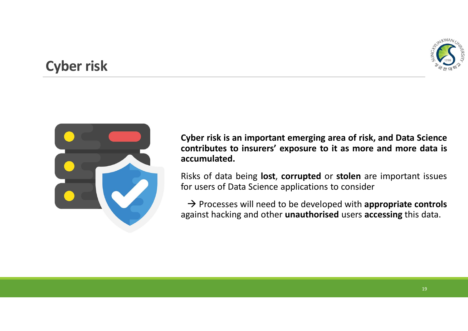

# **Cyber risk**



**Cyber risk is an important emerging area of risk, and Data Science contributes to insurers' exposure to it as more and more data is accumulated.**

Risks of data being **lost**, **corrupted** or **stolen** are important issues for users of Data Science applications to consider

à Processes will need to be developed with **appropriate controls** against hacking and other **unauthorised** users **accessing** this data.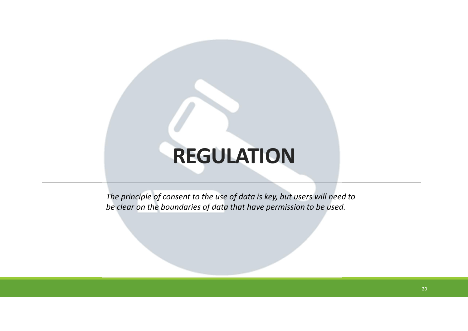# **REGULATION**

*The principle of consent to the use of data is key, but users will need to be clear on the boundaries of data that have permission to be used.*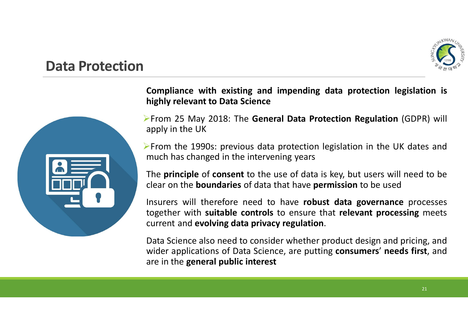

### **Data Protection**



**Compliance with existing and impending data protection legislation is highly relevant to Data Science**

ØFrom 25 May 2018: The **General Data Protection Regulation** (GDPR) will apply in the UK

 $\triangleright$  From the 1990s: previous data protection legislation in the UK dates and much has changed in the intervening years

The **principle** of **consent** to the use of data is key, but users will need to be clear on the **boundaries** of data that have **permission** to be used

Insurers will therefore need to have **robust data governance** processes together with **suitable controls** to ensure that **relevant processing** meets current and **evolving data privacy regulation**.

Data Science also need to consider whether product design and pricing, and wider applications of Data Science, are putting **consumers**' **needs first**, and are in the **general public interest**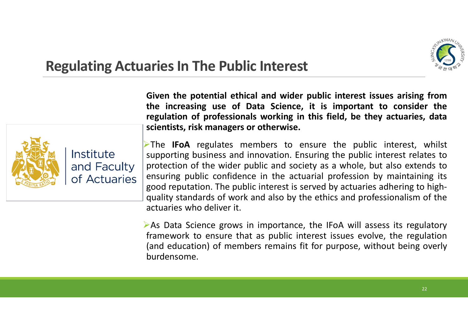

# **Regulating Actuaries In The Public Interest**



**Given the potential ethical and wider public interest issues arising from the increasing use of Data Science, it is important to consider the regulation of professionals working in this field, be they actuaries, data scientists, risk managers or otherwise.**

ØThe **IFoA** regulates members to ensure the public interest, whilst supporting business and innovation. Ensuring the public interest relates to protection of the wider public and society as a whole, but also extends to ensuring public confidence in the actuarial profession by maintaining its good reputation. The public interest is served by actuaries adhering to highquality standards of work and also by the ethics and professionalism of the actuaries who deliver it.

 $\triangleright$  As Data Science grows in importance, the IFoA will assess its regulatory framework to ensure that as public interest issues evolve, the regulation (and education) of members remains fit for purpose, without being overly burdensome.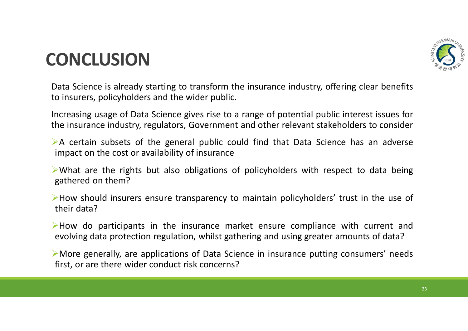

# **CONCLUSION**

Data Science is already starting to transform the insurance industry, offering clear benefits to insurers, policyholders and the wider public.

Increasing usage of Data Science gives rise to a range of potential public interest issues for the insurance industry, regulators, Government and other relevant stakeholders to consider

 $\triangleright$  A certain subsets of the general public could find that Data Science has an adverse impact on the cost or availability of insurance

 $\triangleright$  What are the rights but also obligations of policyholders with respect to data being gathered on them?

ØHow should insurers ensure transparency to maintain policyholders' trust in the use of their data?

ØHow do participants in the insurance market ensure compliance with current and evolving data protection regulation, whilst gathering and using greater amounts of data?

ØMore generally, are applications of Data Science in insurance putting consumers' needs first, or are there wider conduct risk concerns?